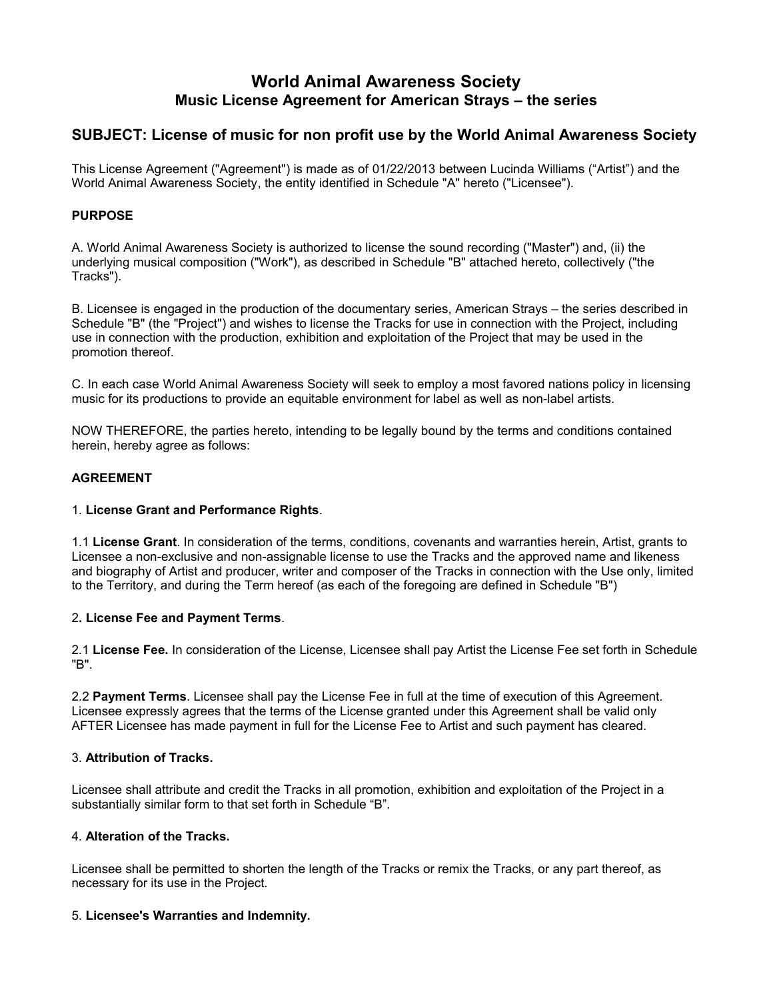# **World Animal Awareness Society Music License Agreement for American Strays – the series**

## **SUBJECT: License of music for non profit use by the World Animal Awareness Society**

This License Agreement ("Agreement") is made as of 01/22/2013 between Lucinda Williams ("Artist") and the World Animal Awareness Society, the entity identified in Schedule "A" hereto ("Licensee").

## **PURPOSE**

A. World Animal Awareness Society is authorized to license the sound recording ("Master") and, (ii) the underlying musical composition ("Work"), as described in Schedule "B" attached hereto, collectively ("the Tracks").

B. Licensee is engaged in the production of the documentary series, American Strays – the series described in Schedule "B" (the "Project") and wishes to license the Tracks for use in connection with the Project, including use in connection with the production, exhibition and exploitation of the Project that may be used in the promotion thereof.

C. In each case World Animal Awareness Society will seek to employ a most favored nations policy in licensing music for its productions to provide an equitable environment for label as well as non-label artists.

NOW THEREFORE, the parties hereto, intending to be legally bound by the terms and conditions contained herein, hereby agree as follows:

## **AGREEMENT**

#### 1. **License Grant and Performance Rights**.

1.1 **License Grant**. In consideration of the terms, conditions, covenants and warranties herein, Artist, grants to Licensee a non-exclusive and non-assignable license to use the Tracks and the approved name and likeness and biography of Artist and producer, writer and composer of the Tracks in connection with the Use only, limited to the Territory, and during the Term hereof (as each of the foregoing are defined in Schedule "B")

#### 2**. License Fee and Payment Terms**.

2.1 **License Fee.** In consideration of the License, Licensee shall pay Artist the License Fee set forth in Schedule "B".

2.2 **Payment Terms**. Licensee shall pay the License Fee in full at the time of execution of this Agreement. Licensee expressly agrees that the terms of the License granted under this Agreement shall be valid only AFTER Licensee has made payment in full for the License Fee to Artist and such payment has cleared.

## 3. **Attribution of Tracks.**

Licensee shall attribute and credit the Tracks in all promotion, exhibition and exploitation of the Project in a substantially similar form to that set forth in Schedule "B".

#### 4. **Alteration of the Tracks.**

Licensee shall be permitted to shorten the length of the Tracks or remix the Tracks, or any part thereof, as necessary for its use in the Project.

#### 5. **Licensee's Warranties and Indemnity.**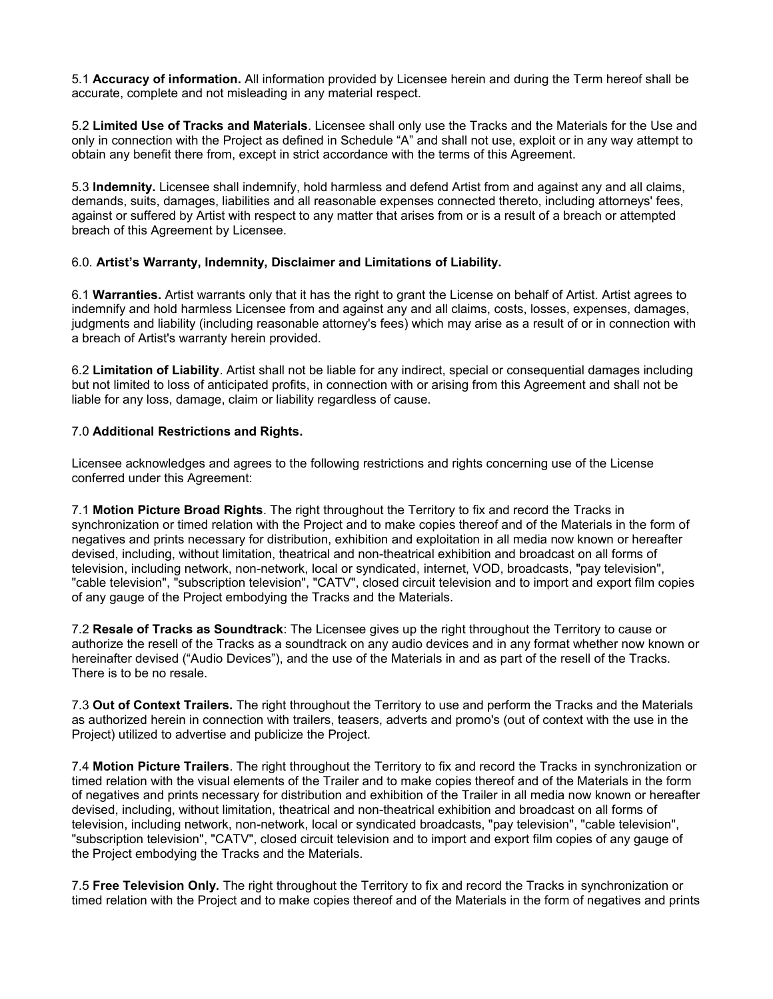5.1 **Accuracy of information.** All information provided by Licensee herein and during the Term hereof shall be accurate, complete and not misleading in any material respect.

5.2 **Limited Use of Tracks and Materials**. Licensee shall only use the Tracks and the Materials for the Use and only in connection with the Project as defined in Schedule "A" and shall not use, exploit or in any way attempt to obtain any benefit there from, except in strict accordance with the terms of this Agreement.

5.3 **Indemnity.** Licensee shall indemnify, hold harmless and defend Artist from and against any and all claims, demands, suits, damages, liabilities and all reasonable expenses connected thereto, including attorneys' fees, against or suffered by Artist with respect to any matter that arises from or is a result of a breach or attempted breach of this Agreement by Licensee.

## 6.0. **Artist's Warranty, Indemnity, Disclaimer and Limitations of Liability.**

6.1 **Warranties.** Artist warrants only that it has the right to grant the License on behalf of Artist. Artist agrees to indemnify and hold harmless Licensee from and against any and all claims, costs, losses, expenses, damages, judgments and liability (including reasonable attorney's fees) which may arise as a result of or in connection with a breach of Artist's warranty herein provided.

6.2 **Limitation of Liability**. Artist shall not be liable for any indirect, special or consequential damages including but not limited to loss of anticipated profits, in connection with or arising from this Agreement and shall not be liable for any loss, damage, claim or liability regardless of cause.

#### 7.0 **Additional Restrictions and Rights.**

Licensee acknowledges and agrees to the following restrictions and rights concerning use of the License conferred under this Agreement:

7.1 **Motion Picture Broad Rights**. The right throughout the Territory to fix and record the Tracks in synchronization or timed relation with the Project and to make copies thereof and of the Materials in the form of negatives and prints necessary for distribution, exhibition and exploitation in all media now known or hereafter devised, including, without limitation, theatrical and non-theatrical exhibition and broadcast on all forms of television, including network, non-network, local or syndicated, internet, VOD, broadcasts, "pay television", "cable television", "subscription television", "CATV", closed circuit television and to import and export film copies of any gauge of the Project embodying the Tracks and the Materials.

7.2 **Resale of Tracks as Soundtrack**: The Licensee gives up the right throughout the Territory to cause or authorize the resell of the Tracks as a soundtrack on any audio devices and in any format whether now known or hereinafter devised ("Audio Devices"), and the use of the Materials in and as part of the resell of the Tracks. There is to be no resale.

7.3 **Out of Context Trailers.** The right throughout the Territory to use and perform the Tracks and the Materials as authorized herein in connection with trailers, teasers, adverts and promo's (out of context with the use in the Project) utilized to advertise and publicize the Project.

7.4 **Motion Picture Trailers**. The right throughout the Territory to fix and record the Tracks in synchronization or timed relation with the visual elements of the Trailer and to make copies thereof and of the Materials in the form of negatives and prints necessary for distribution and exhibition of the Trailer in all media now known or hereafter devised, including, without limitation, theatrical and non-theatrical exhibition and broadcast on all forms of television, including network, non-network, local or syndicated broadcasts, "pay television", "cable television", "subscription television", "CATV", closed circuit television and to import and export film copies of any gauge of the Project embodying the Tracks and the Materials.

7.5 **Free Television Only.** The right throughout the Territory to fix and record the Tracks in synchronization or timed relation with the Project and to make copies thereof and of the Materials in the form of negatives and prints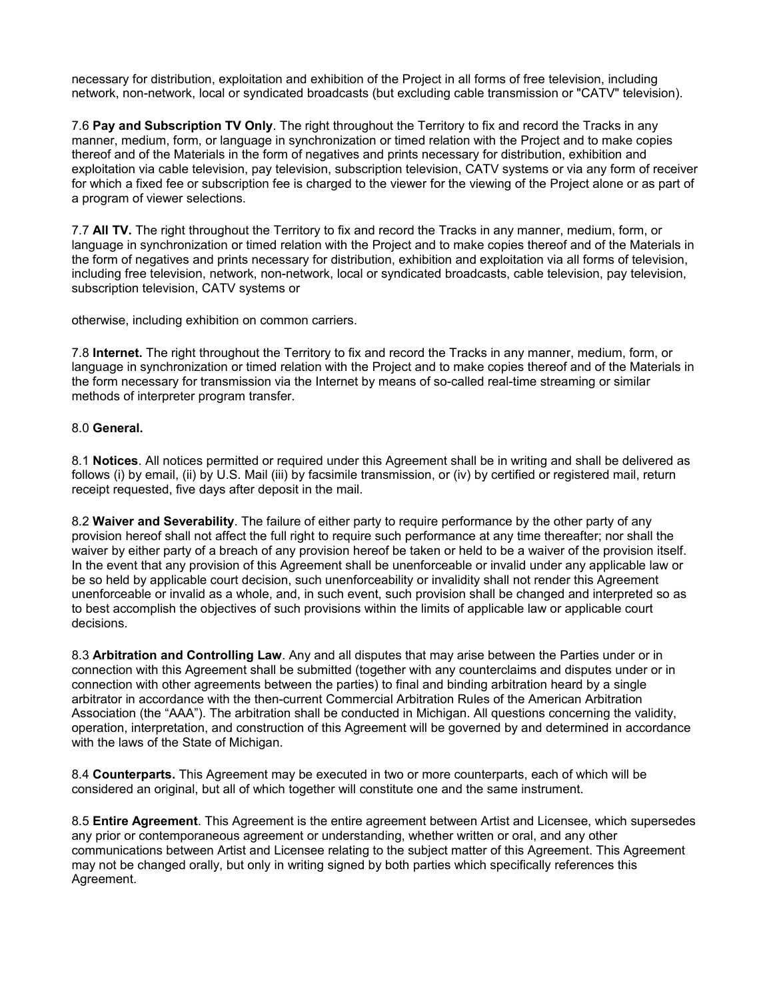necessary for distribution, exploitation and exhibition of the Project in all forms of free television, including network, non-network, local or syndicated broadcasts (but excluding cable transmission or "CATV" television).

7.6 **Pay and Subscription TV Only**. The right throughout the Territory to fix and record the Tracks in any manner, medium, form, or language in synchronization or timed relation with the Project and to make copies thereof and of the Materials in the form of negatives and prints necessary for distribution, exhibition and exploitation via cable television, pay television, subscription television, CATV systems or via any form of receiver for which a fixed fee or subscription fee is charged to the viewer for the viewing of the Project alone or as part of a program of viewer selections.

7.7 **All TV.** The right throughout the Territory to fix and record the Tracks in any manner, medium, form, or language in synchronization or timed relation with the Project and to make copies thereof and of the Materials in the form of negatives and prints necessary for distribution, exhibition and exploitation via all forms of television, including free television, network, non-network, local or syndicated broadcasts, cable television, pay television, subscription television, CATV systems or

otherwise, including exhibition on common carriers.

7.8 **Internet.** The right throughout the Territory to fix and record the Tracks in any manner, medium, form, or language in synchronization or timed relation with the Project and to make copies thereof and of the Materials in the form necessary for transmission via the Internet by means of so-called real-time streaming or similar methods of interpreter program transfer.

#### 8.0 **General.**

8.1 **Notices**. All notices permitted or required under this Agreement shall be in writing and shall be delivered as follows (i) by email, (ii) by U.S. Mail (iii) by facsimile transmission, or (iv) by certified or registered mail, return receipt requested, five days after deposit in the mail.

8.2 **Waiver and Severability**. The failure of either party to require performance by the other party of any provision hereof shall not affect the full right to require such performance at any time thereafter; nor shall the waiver by either party of a breach of any provision hereof be taken or held to be a waiver of the provision itself. In the event that any provision of this Agreement shall be unenforceable or invalid under any applicable law or be so held by applicable court decision, such unenforceability or invalidity shall not render this Agreement unenforceable or invalid as a whole, and, in such event, such provision shall be changed and interpreted so as to best accomplish the objectives of such provisions within the limits of applicable law or applicable court decisions.

8.3 **Arbitration and Controlling Law**. Any and all disputes that may arise between the Parties under or in connection with this Agreement shall be submitted (together with any counterclaims and disputes under or in connection with other agreements between the parties) to final and binding arbitration heard by a single arbitrator in accordance with the then-current Commercial Arbitration Rules of the American Arbitration Association (the "AAA"). The arbitration shall be conducted in Michigan. All questions concerning the validity, operation, interpretation, and construction of this Agreement will be governed by and determined in accordance with the laws of the State of Michigan.

8.4 **Counterparts.** This Agreement may be executed in two or more counterparts, each of which will be considered an original, but all of which together will constitute one and the same instrument.

8.5 **Entire Agreement**. This Agreement is the entire agreement between Artist and Licensee, which supersedes any prior or contemporaneous agreement or understanding, whether written or oral, and any other communications between Artist and Licensee relating to the subject matter of this Agreement. This Agreement may not be changed orally, but only in writing signed by both parties which specifically references this Agreement.